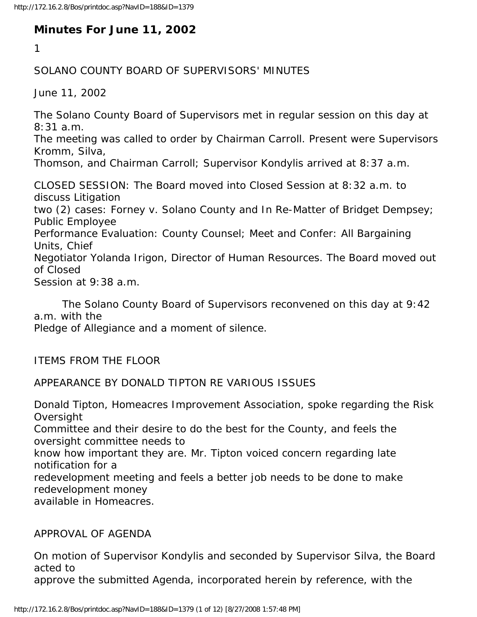# **Minutes For June 11, 2002**

1

## SOLANO COUNTY BOARD OF SUPERVISORS' MINUTES

June 11, 2002

The Solano County Board of Supervisors met in regular session on this day at 8:31 a.m.

The meeting was called to order by Chairman Carroll. Present were Supervisors Kromm, Silva,

Thomson, and Chairman Carroll; Supervisor Kondylis arrived at 8:37 a.m.

CLOSED SESSION: The Board moved into Closed Session at 8:32 a.m. to discuss Litigation two (2) cases: Forney v. Solano County and In Re-Matter of Bridget Dempsey; Public Employee Performance Evaluation: County Counsel; Meet and Confer: All Bargaining Units, Chief Negotiator Yolanda Irigon, Director of Human Resources. The Board moved out of Closed Session at 9:38 a.m.

 The Solano County Board of Supervisors reconvened on this day at 9:42 a.m. with the

Pledge of Allegiance and a moment of silence.

ITEMS FROM THE FLOOR

### APPEARANCE BY DONALD TIPTON RE VARIOUS ISSUES

Donald Tipton, Homeacres Improvement Association, spoke regarding the Risk **Oversight** Committee and their desire to do the best for the County, and feels the oversight committee needs to know how important they are. Mr. Tipton voiced concern regarding late notification for a redevelopment meeting and feels a better job needs to be done to make redevelopment money available in Homeacres.

#### APPROVAL OF AGENDA

On motion of Supervisor Kondylis and seconded by Supervisor Silva, the Board acted to

approve the submitted Agenda, incorporated herein by reference, with the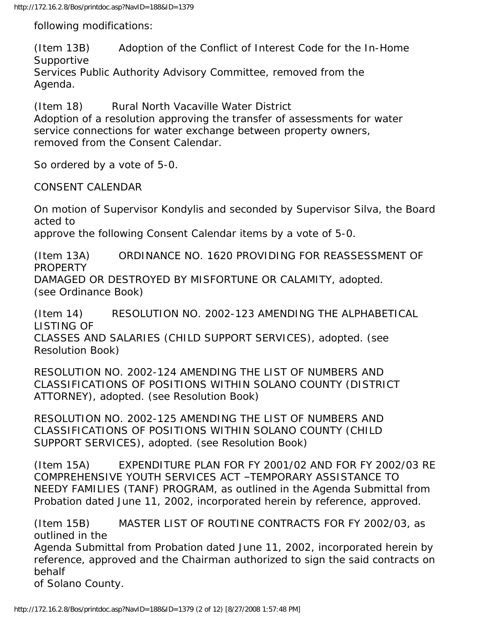following modifications:

(Item 13B) Adoption of the Conflict of Interest Code for the In-Home Supportive Services Public Authority Advisory Committee, removed from the Agenda.

(Item 18) Rural North Vacaville Water District Adoption of a resolution approving the transfer of assessments for water service connections for water exchange between property owners, removed from the Consent Calendar.

So ordered by a vote of 5-0.

CONSENT CALENDAR

On motion of Supervisor Kondylis and seconded by Supervisor Silva, the Board acted to

approve the following Consent Calendar items by a vote of 5-0.

(Item 13A) ORDINANCE NO. 1620 PROVIDING FOR REASSESSMENT OF PROPERTY DAMAGED OR DESTROYED BY MISFORTUNE OR CALAMITY, adopted. (see Ordinance Book)

(Item 14) RESOLUTION NO. 2002-123 AMENDING THE ALPHABETICAL LISTING OF CLASSES AND SALARIES (CHILD SUPPORT SERVICES), adopted. (see Resolution Book)

RESOLUTION NO. 2002-124 AMENDING THE LIST OF NUMBERS AND CLASSIFICATIONS OF POSITIONS WITHIN SOLANO COUNTY (DISTRICT ATTORNEY), adopted. (see Resolution Book)

RESOLUTION NO. 2002-125 AMENDING THE LIST OF NUMBERS AND CLASSIFICATIONS OF POSITIONS WITHIN SOLANO COUNTY (CHILD SUPPORT SERVICES), adopted. (see Resolution Book)

(Item 15A) EXPENDITURE PLAN FOR FY 2001/02 AND FOR FY 2002/03 RE COMPREHENSIVE YOUTH SERVICES ACT –TEMPORARY ASSISTANCE TO NEEDY FAMILIES (TANF) PROGRAM, as outlined in the Agenda Submittal from Probation dated June 11, 2002, incorporated herein by reference, approved.

(Item 15B) MASTER LIST OF ROUTINE CONTRACTS FOR FY 2002/03, as outlined in the Agenda Submittal from Probation dated June 11, 2002, incorporated herein by reference, approved and the Chairman authorized to sign the said contracts on behalf of Solano County.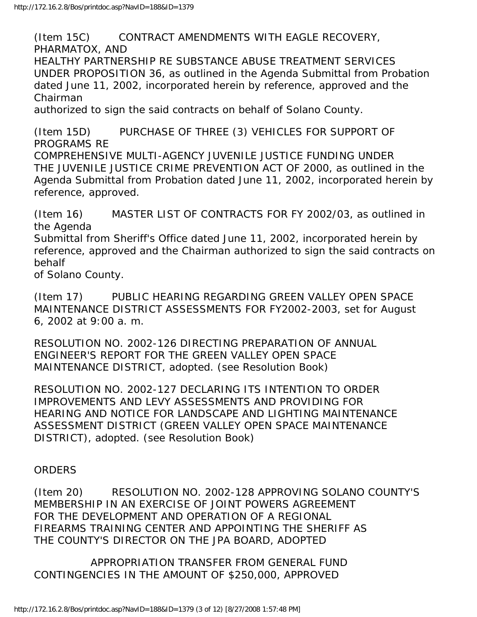(Item 15C) CONTRACT AMENDMENTS WITH EAGLE RECOVERY, PHARMATOX, AND HEALTHY PARTNERSHIP RE SUBSTANCE ABUSE TREATMENT SERVICES UNDER PROPOSITION 36, as outlined in the Agenda Submittal from Probation dated June 11, 2002, incorporated herein by reference, approved and the Chairman authorized to sign the said contracts on behalf of Solano County.

(Item 15D) PURCHASE OF THREE (3) VEHICLES FOR SUPPORT OF PROGRAMS RE COMPREHENSIVE MULTI-AGENCY JUVENILE JUSTICE FUNDING UNDER THE JUVENILE JUSTICE CRIME PREVENTION ACT OF 2000, as outlined in the Agenda Submittal from Probation dated June 11, 2002, incorporated herein by reference, approved.

(Item 16) MASTER LIST OF CONTRACTS FOR FY 2002/03, as outlined in the Agenda

Submittal from Sheriff's Office dated June 11, 2002, incorporated herein by reference, approved and the Chairman authorized to sign the said contracts on behalf

of Solano County.

(Item 17) PUBLIC HEARING REGARDING GREEN VALLEY OPEN SPACE MAINTENANCE DISTRICT ASSESSMENTS FOR FY2002-2003, set for August 6, 2002 at 9:00 a. m.

RESOLUTION NO. 2002-126 DIRECTING PREPARATION OF ANNUAL ENGINEER'S REPORT FOR THE GREEN VALLEY OPEN SPACE MAINTENANCE DISTRICT, adopted. (see Resolution Book)

RESOLUTION NO. 2002-127 DECLARING ITS INTENTION TO ORDER IMPROVEMENTS AND LEVY ASSESSMENTS AND PROVIDING FOR HEARING AND NOTICE FOR LANDSCAPE AND LIGHTING MAINTENANCE ASSESSMENT DISTRICT (GREEN VALLEY OPEN SPACE MAINTENANCE DISTRICT), adopted. (see Resolution Book)

### ORDERS

(Item 20) RESOLUTION NO. 2002-128 APPROVING SOLANO COUNTY'S MEMBERSHIP IN AN EXERCISE OF JOINT POWERS AGREEMENT FOR THE DEVELOPMENT AND OPERATION OF A REGIONAL FIREARMS TRAINING CENTER AND APPOINTING THE SHERIFF AS THE COUNTY'S DIRECTOR ON THE JPA BOARD, ADOPTED

 APPROPRIATION TRANSFER FROM GENERAL FUND CONTINGENCIES IN THE AMOUNT OF \$250,000, APPROVED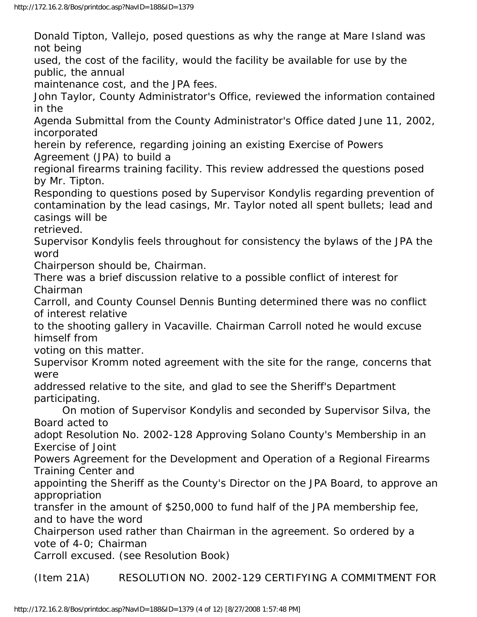Donald Tipton, Vallejo, posed questions as why the range at Mare Island was not being

used, the cost of the facility, would the facility be available for use by the public, the annual

maintenance cost, and the JPA fees.

John Taylor, County Administrator's Office, reviewed the information contained in the

Agenda Submittal from the County Administrator's Office dated June 11, 2002, incorporated

herein by reference, regarding joining an existing Exercise of Powers Agreement (JPA) to build a

regional firearms training facility. This review addressed the questions posed by Mr. Tipton.

Responding to questions posed by Supervisor Kondylis regarding prevention of contamination by the lead casings, Mr. Taylor noted all spent bullets; lead and casings will be

retrieved.

Supervisor Kondylis feels throughout for consistency the bylaws of the JPA the word

Chairperson should be, Chairman.

There was a brief discussion relative to a possible conflict of interest for Chairman

Carroll, and County Counsel Dennis Bunting determined there was no conflict of interest relative

to the shooting gallery in Vacaville. Chairman Carroll noted he would excuse himself from

voting on this matter.

Supervisor Kromm noted agreement with the site for the range, concerns that were

addressed relative to the site, and glad to see the Sheriff's Department participating.

 On motion of Supervisor Kondylis and seconded by Supervisor Silva, the Board acted to

adopt Resolution No. 2002-128 Approving Solano County's Membership in an Exercise of Joint

Powers Agreement for the Development and Operation of a Regional Firearms Training Center and

appointing the Sheriff as the County's Director on the JPA Board, to approve an appropriation

transfer in the amount of \$250,000 to fund half of the JPA membership fee, and to have the word

Chairperson used rather than Chairman in the agreement. So ordered by a vote of 4-0; Chairman

Carroll excused. (see Resolution Book)

(Item 21A) RESOLUTION NO. 2002-129 CERTIFYING A COMMITMENT FOR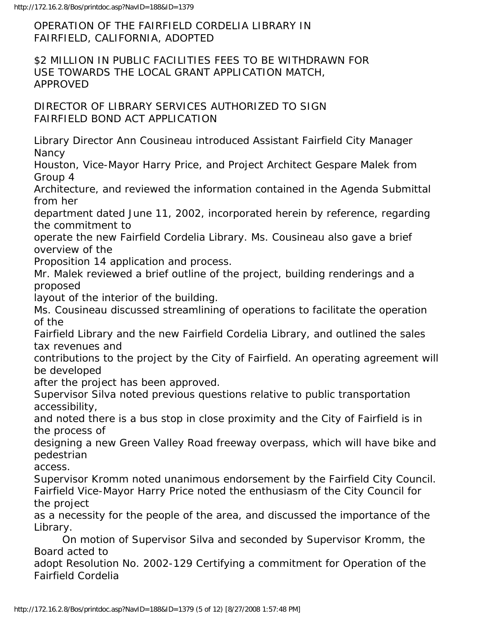OPERATION OF THE FAIRFIELD CORDELIA LIBRARY IN FAIRFIELD, CALIFORNIA, ADOPTED

\$2 MILLION IN PUBLIC FACILITIES FEES TO BE WITHDRAWN FOR USE TOWARDS THE LOCAL GRANT APPLICATION MATCH, APPROVED

DIRECTOR OF LIBRARY SERVICES AUTHORIZED TO SIGN FAIRFIELD BOND ACT APPLICATION

Library Director Ann Cousineau introduced Assistant Fairfield City Manager **Nancy** 

Houston, Vice-Mayor Harry Price, and Project Architect Gespare Malek from Group 4

Architecture, and reviewed the information contained in the Agenda Submittal from her

department dated June 11, 2002, incorporated herein by reference, regarding the commitment to

operate the new Fairfield Cordelia Library. Ms. Cousineau also gave a brief overview of the

Proposition 14 application and process.

Mr. Malek reviewed a brief outline of the project, building renderings and a proposed

layout of the interior of the building.

Ms. Cousineau discussed streamlining of operations to facilitate the operation of the

Fairfield Library and the new Fairfield Cordelia Library, and outlined the sales tax revenues and

contributions to the project by the City of Fairfield. An operating agreement will be developed

after the project has been approved.

Supervisor Silva noted previous questions relative to public transportation accessibility,

and noted there is a bus stop in close proximity and the City of Fairfield is in the process of

designing a new Green Valley Road freeway overpass, which will have bike and pedestrian

access.

Supervisor Kromm noted unanimous endorsement by the Fairfield City Council. Fairfield Vice-Mayor Harry Price noted the enthusiasm of the City Council for the project

as a necessity for the people of the area, and discussed the importance of the Library.

 On motion of Supervisor Silva and seconded by Supervisor Kromm, the Board acted to

adopt Resolution No. 2002-129 Certifying a commitment for Operation of the Fairfield Cordelia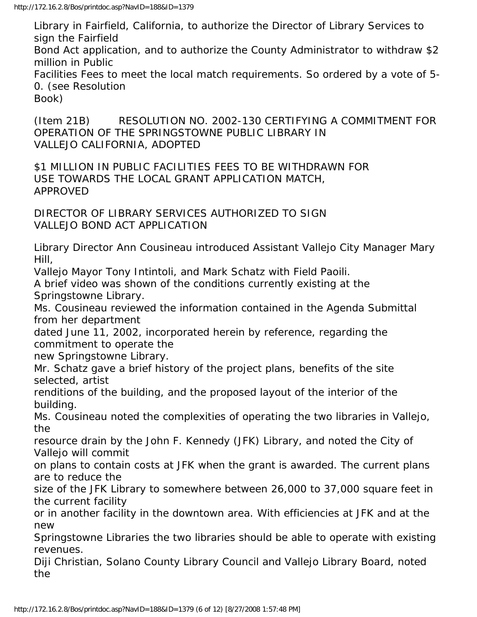Library in Fairfield, California, to authorize the Director of Library Services to sign the Fairfield Bond Act application, and to authorize the County Administrator to withdraw \$2 million in Public Facilities Fees to meet the local match requirements. So ordered by a vote of 5- 0. (see Resolution Book)

(Item 21B) RESOLUTION NO. 2002-130 CERTIFYING A COMMITMENT FOR OPERATION OF THE SPRINGSTOWNE PUBLIC LIBRARY IN VALLEJO CALIFORNIA, ADOPTED

\$1 MILLION IN PUBLIC FACILITIES FEES TO BE WITHDRAWN FOR USE TOWARDS THE LOCAL GRANT APPLICATION MATCH, APPROVED

DIRECTOR OF LIBRARY SERVICES AUTHORIZED TO SIGN VALLEJO BOND ACT APPLICATION

Library Director Ann Cousineau introduced Assistant Vallejo City Manager Mary Hill,

Vallejo Mayor Tony Intintoli, and Mark Schatz with Field Paoili.

A brief video was shown of the conditions currently existing at the Springstowne Library.

Ms. Cousineau reviewed the information contained in the Agenda Submittal from her department

dated June 11, 2002, incorporated herein by reference, regarding the commitment to operate the

new Springstowne Library.

Mr. Schatz gave a brief history of the project plans, benefits of the site selected, artist

renditions of the building, and the proposed layout of the interior of the building.

Ms. Cousineau noted the complexities of operating the two libraries in Vallejo, the

resource drain by the John F. Kennedy (JFK) Library, and noted the City of Vallejo will commit

on plans to contain costs at JFK when the grant is awarded. The current plans are to reduce the

size of the JFK Library to somewhere between 26,000 to 37,000 square feet in the current facility

or in another facility in the downtown area. With efficiencies at JFK and at the new

Springstowne Libraries the two libraries should be able to operate with existing revenues.

Diji Christian, Solano County Library Council and Vallejo Library Board, noted the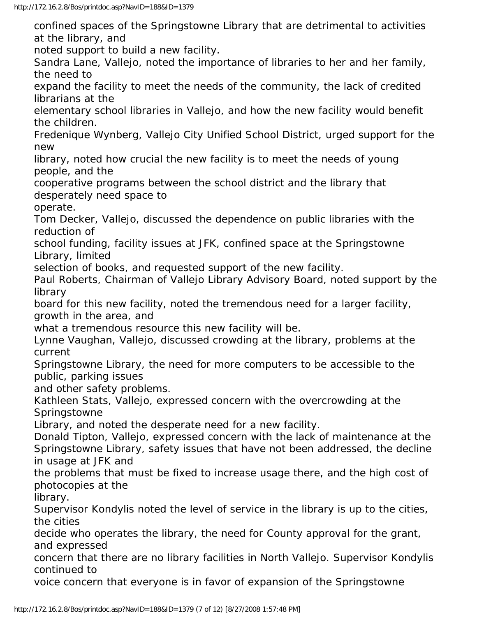confined spaces of the Springstowne Library that are detrimental to activities at the library, and

noted support to build a new facility.

Sandra Lane, Vallejo, noted the importance of libraries to her and her family, the need to

expand the facility to meet the needs of the community, the lack of credited librarians at the

elementary school libraries in Vallejo, and how the new facility would benefit the children.

Fredenique Wynberg, Vallejo City Unified School District, urged support for the new

library, noted how crucial the new facility is to meet the needs of young people, and the

cooperative programs between the school district and the library that desperately need space to

operate.

Tom Decker, Vallejo, discussed the dependence on public libraries with the reduction of

school funding, facility issues at JFK, confined space at the Springstowne Library, limited

selection of books, and requested support of the new facility.

Paul Roberts, Chairman of Vallejo Library Advisory Board, noted support by the library

board for this new facility, noted the tremendous need for a larger facility, growth in the area, and

what a tremendous resource this new facility will be.

Lynne Vaughan, Vallejo, discussed crowding at the library, problems at the current

Springstowne Library, the need for more computers to be accessible to the public, parking issues

and other safety problems.

Kathleen Stats, Vallejo, expressed concern with the overcrowding at the **Springstowne** 

Library, and noted the desperate need for a new facility.

Donald Tipton, Vallejo, expressed concern with the lack of maintenance at the Springstowne Library, safety issues that have not been addressed, the decline in usage at JFK and

the problems that must be fixed to increase usage there, and the high cost of photocopies at the

library.

Supervisor Kondylis noted the level of service in the library is up to the cities, the cities

decide who operates the library, the need for County approval for the grant, and expressed

concern that there are no library facilities in North Vallejo. Supervisor Kondylis continued to

voice concern that everyone is in favor of expansion of the Springstowne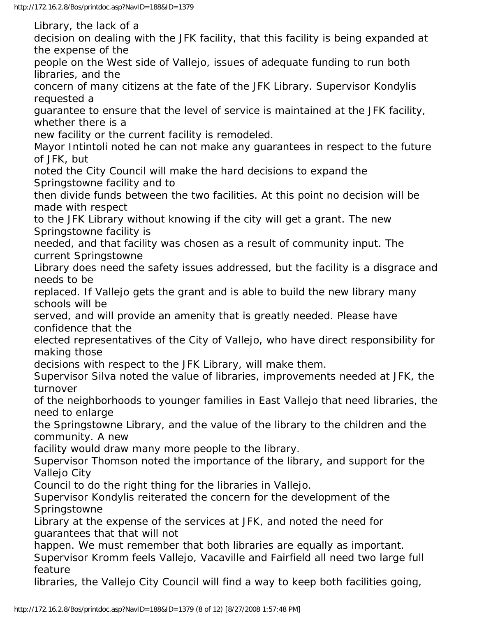Library, the lack of a decision on dealing with the JFK facility, that this facility is being expanded at the expense of the people on the West side of Vallejo, issues of adequate funding to run both libraries, and the concern of many citizens at the fate of the JFK Library. Supervisor Kondylis requested a guarantee to ensure that the level of service is maintained at the JFK facility, whether there is a new facility or the current facility is remodeled. Mayor Intintoli noted he can not make any guarantees in respect to the future of JFK, but noted the City Council will make the hard decisions to expand the Springstowne facility and to then divide funds between the two facilities. At this point no decision will be made with respect to the JFK Library without knowing if the city will get a grant. The new Springstowne facility is needed, and that facility was chosen as a result of community input. The current Springstowne Library does need the safety issues addressed, but the facility is a disgrace and needs to be replaced. If Vallejo gets the grant and is able to build the new library many schools will be served, and will provide an amenity that is greatly needed. Please have confidence that the elected representatives of the City of Vallejo, who have direct responsibility for making those decisions with respect to the JFK Library, will make them. Supervisor Silva noted the value of libraries, improvements needed at JFK, the turnover of the neighborhoods to younger families in East Vallejo that need libraries, the need to enlarge the Springstowne Library, and the value of the library to the children and the community. A new facility would draw many more people to the library. Supervisor Thomson noted the importance of the library, and support for the Vallejo City Council to do the right thing for the libraries in Vallejo. Supervisor Kondylis reiterated the concern for the development of the Springstowne Library at the expense of the services at JFK, and noted the need for guarantees that that will not happen. We must remember that both libraries are equally as important. Supervisor Kromm feels Vallejo, Vacaville and Fairfield all need two large full feature libraries, the Vallejo City Council will find a way to keep both facilities going,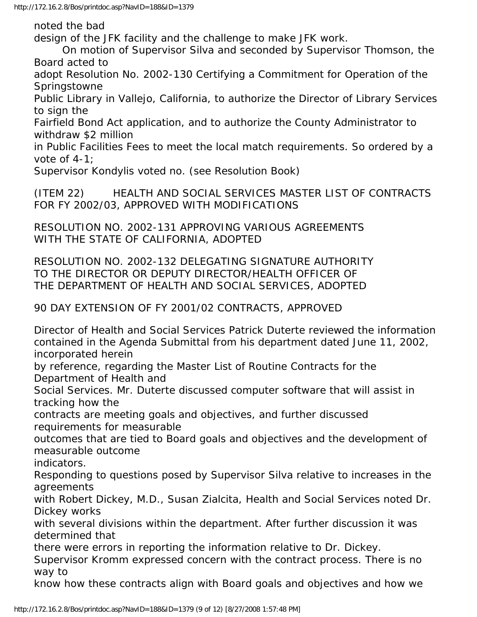noted the bad

design of the JFK facility and the challenge to make JFK work.

 On motion of Supervisor Silva and seconded by Supervisor Thomson, the Board acted to

adopt Resolution No. 2002-130 Certifying a Commitment for Operation of the **Springstowne** 

Public Library in Vallejo, California, to authorize the Director of Library Services to sign the

Fairfield Bond Act application, and to authorize the County Administrator to withdraw \$2 million

in Public Facilities Fees to meet the local match requirements. So ordered by a vote of 4-1;

Supervisor Kondylis voted no. (see Resolution Book)

(ITEM 22) HEALTH AND SOCIAL SERVICES MASTER LIST OF CONTRACTS FOR FY 2002/03, APPROVED WITH MODIFICATIONS

RESOLUTION NO. 2002-131 APPROVING VARIOUS AGREEMENTS WITH THE STATE OF CALIFORNIA, ADOPTED

RESOLUTION NO. 2002-132 DELEGATING SIGNATURE AUTHORITY TO THE DIRECTOR OR DEPUTY DIRECTOR/HEALTH OFFICER OF THE DEPARTMENT OF HEALTH AND SOCIAL SERVICES, ADOPTED

90 DAY EXTENSION OF FY 2001/02 CONTRACTS, APPROVED

Director of Health and Social Services Patrick Duterte reviewed the information contained in the Agenda Submittal from his department dated June 11, 2002, incorporated herein

by reference, regarding the Master List of Routine Contracts for the Department of Health and

Social Services. Mr. Duterte discussed computer software that will assist in tracking how the

contracts are meeting goals and objectives, and further discussed requirements for measurable

outcomes that are tied to Board goals and objectives and the development of measurable outcome

indicators.

Responding to questions posed by Supervisor Silva relative to increases in the agreements

with Robert Dickey, M.D., Susan Zialcita, Health and Social Services noted Dr. Dickey works

with several divisions within the department. After further discussion it was determined that

there were errors in reporting the information relative to Dr. Dickey.

Supervisor Kromm expressed concern with the contract process. There is no way to

know how these contracts align with Board goals and objectives and how we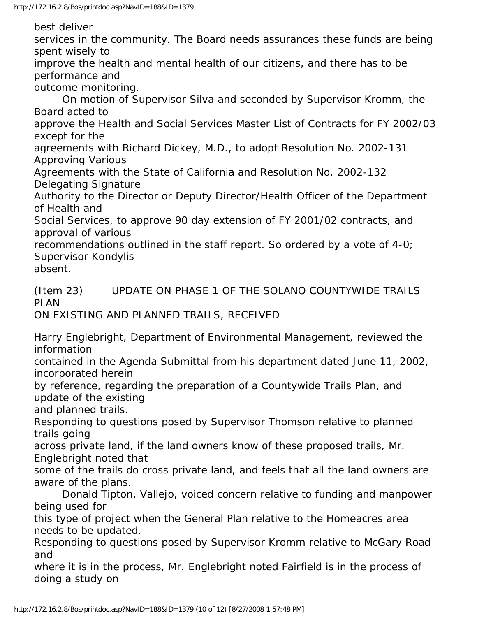best deliver

services in the community. The Board needs assurances these funds are being spent wisely to

improve the health and mental health of our citizens, and there has to be performance and

outcome monitoring.

 On motion of Supervisor Silva and seconded by Supervisor Kromm, the Board acted to

approve the Health and Social Services Master List of Contracts for FY 2002/03 except for the

agreements with Richard Dickey, M.D., to adopt Resolution No. 2002-131 Approving Various

Agreements with the State of California and Resolution No. 2002-132 Delegating Signature

Authority to the Director or Deputy Director/Health Officer of the Department of Health and

Social Services, to approve 90 day extension of FY 2001/02 contracts, and approval of various

recommendations outlined in the staff report. So ordered by a vote of 4-0; Supervisor Kondylis

absent.

(Item 23) UPDATE ON PHASE 1 OF THE SOLANO COUNTYWIDE TRAILS PLAN

ON EXISTING AND PLANNED TRAILS, RECEIVED

Harry Englebright, Department of Environmental Management, reviewed the information

contained in the Agenda Submittal from his department dated June 11, 2002, incorporated herein

by reference, regarding the preparation of a Countywide Trails Plan, and update of the existing

and planned trails.

Responding to questions posed by Supervisor Thomson relative to planned trails going

across private land, if the land owners know of these proposed trails, Mr. Englebright noted that

some of the trails do cross private land, and feels that all the land owners are aware of the plans.

 Donald Tipton, Vallejo, voiced concern relative to funding and manpower being used for

this type of project when the General Plan relative to the Homeacres area needs to be updated.

Responding to questions posed by Supervisor Kromm relative to McGary Road and

where it is in the process, Mr. Englebright noted Fairfield is in the process of doing a study on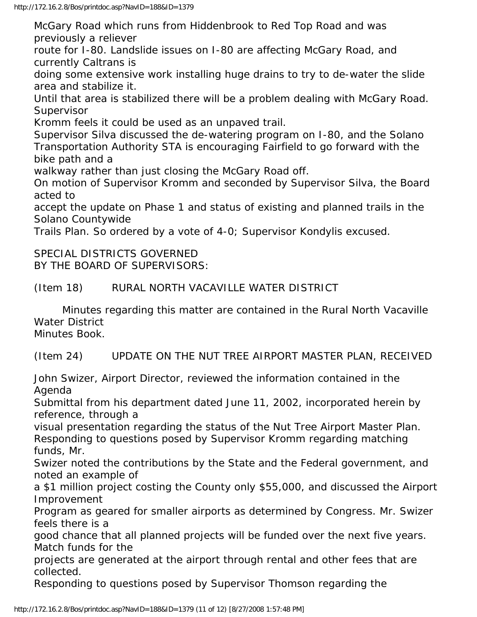McGary Road which runs from Hiddenbrook to Red Top Road and was previously a reliever

route for I-80. Landslide issues on I-80 are affecting McGary Road, and currently Caltrans is

doing some extensive work installing huge drains to try to de-water the slide area and stabilize it.

Until that area is stabilized there will be a problem dealing with McGary Road. **Supervisor** 

Kromm feels it could be used as an unpaved trail.

Supervisor Silva discussed the de-watering program on I-80, and the Solano Transportation Authority STA is encouraging Fairfield to go forward with the bike path and a

walkway rather than just closing the McGary Road off.

On motion of Supervisor Kromm and seconded by Supervisor Silva, the Board acted to

accept the update on Phase 1 and status of existing and planned trails in the Solano Countywide

Trails Plan. So ordered by a vote of 4-0; Supervisor Kondylis excused.

SPECIAL DISTRICTS GOVERNED BY THE BOARD OF SUPERVISORS:

(Item 18) RURAL NORTH VACAVILLE WATER DISTRICT

 Minutes regarding this matter are contained in the Rural North Vacaville Water District Minutes Book.

(Item 24) UPDATE ON THE NUT TREE AIRPORT MASTER PLAN, RECEIVED

John Swizer, Airport Director, reviewed the information contained in the Agenda

Submittal from his department dated June 11, 2002, incorporated herein by reference, through a

visual presentation regarding the status of the Nut Tree Airport Master Plan. Responding to questions posed by Supervisor Kromm regarding matching funds, Mr.

Swizer noted the contributions by the State and the Federal government, and noted an example of

a \$1 million project costing the County only \$55,000, and discussed the Airport Improvement

Program as geared for smaller airports as determined by Congress. Mr. Swizer feels there is a

good chance that all planned projects will be funded over the next five years. Match funds for the

projects are generated at the airport through rental and other fees that are collected.

Responding to questions posed by Supervisor Thomson regarding the